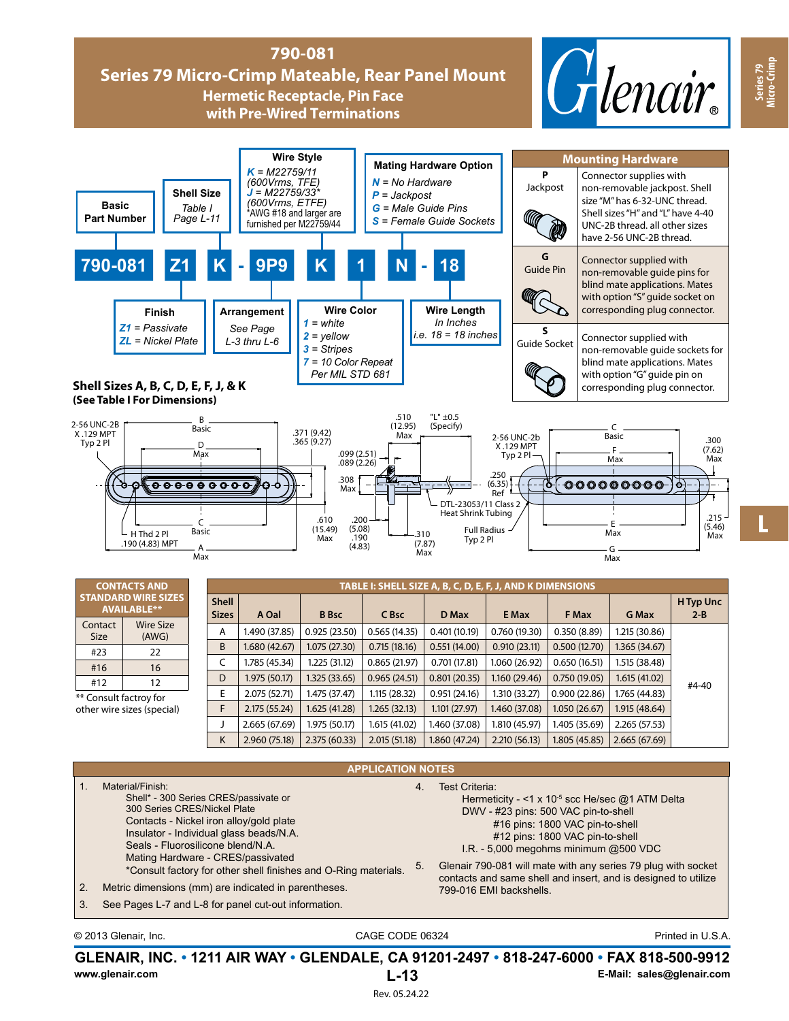## **790-081 Series 79 Micro-Crimp Mateable, Rear Panel Mount Hermetic Receptacle, Pin Face with Pre-Wired Terminations**





# **(See Table I For Dimensions)**



| <b>CONTACTS AND</b><br><b>STANDARD WIRE SIZES</b><br><b>AVAILABLE**</b> |                    | TABLE I: SHELL SIZE A, B, C, D, E, F, J, AND K DIMENSIONS |               |               |               |               |               |               |               |                      |  |  |
|-------------------------------------------------------------------------|--------------------|-----------------------------------------------------------|---------------|---------------|---------------|---------------|---------------|---------------|---------------|----------------------|--|--|
|                                                                         |                    | <b>Shell</b><br><b>Sizes</b>                              | A Oal         | <b>B</b> Bsc  | C Bsc         | D Max         | E Max         | F Max         | <b>G</b> Max  | H Typ Unc<br>$2 - B$ |  |  |
| Contact<br>Size                                                         | Wire Size<br>(AWG) | A                                                         | 1.490 (37.85) | 0.925(23.50)  | 0.565(14.35)  | 0.401(10.19)  | 0.760(19.30)  | 0.350(8.89)   | 1.215 (30.86) |                      |  |  |
| #23                                                                     | 22                 | <sub>B</sub>                                              | 1.680 (42.67) | 1.075 (27.30) | 0.715(18.16)  | 0.551(14.00)  | 0.910(23.11)  | 0.500(12.70)  | 1.365 (34.67) |                      |  |  |
| #16                                                                     | 16                 |                                                           | 1.785 (45.34) | 1.225 (31.12) | 0.865(21.97)  | 0.701(17.81)  | 1.060 (26.92) | 0.650(16.51)  | 1.515 (38.48) |                      |  |  |
| #12                                                                     | 12                 | D                                                         | 1.975 (50.17) | 1.325 (33.65) | 0.965(24.51)  | 0.801(20.35)  | 1.160 (29.46) | 0.750(19.05)  | 1.615(41.02)  |                      |  |  |
| ** Consult factroy for                                                  |                    |                                                           | 2.075 (52.71) | 1.475 (37.47) | 1.115 (28.32) | 0.951(24.16)  | 1.310 (33.27) | 0.900(22.86)  | 1.765 (44.83) | #4-40                |  |  |
| other wire sizes (special)                                              |                    | F                                                         | 2.175(55.24)  | 1.625 (41.28) | 1.265(32.13)  | 1.101 (27.97) | 1.460 (37.08) | 1.050(26.67)  | 1.915 (48.64) |                      |  |  |
|                                                                         |                    |                                                           | 2.665(67.69)  | 1.975 (50.17) | 1.615 (41.02) | 1.460 (37.08) | 1.810 (45.97) | 1.405 (35.69) | 2.265(57.53)  |                      |  |  |
|                                                                         |                    | K                                                         | 2.960 (75.18) | 2.375 (60.33) | 2.015(51.18)  | 1.860 (47.24) | 2.210(56.13)  | 1.805(45.85)  | 2.665(67.69)  |                      |  |  |

#### **APPLICATION NOTES**

| $\mathcal{P}$<br>3. | Material/Finish:<br>Shell* - 300 Series CRES/passivate or<br>300 Series CRES/Nickel Plate<br>Contacts - Nickel iron alloy/gold plate<br>Insulator - Individual glass beads/N.A.<br>Seals - Fluorosilicone blend/N.A.<br>Mating Hardware - CRES/passivated<br>*Consult factory for other shell finishes and O-Ring materials.<br>Metric dimensions (mm) are indicated in parentheses.<br>See Pages L-7 and L-8 for panel cut-out information. | $\overline{4}$ .<br>5. | Test Criteria:<br>Hermeticity - <1 x 10 <sup>-5</sup> scc He/sec @1 ATM Delta<br>DWV - #23 pins: 500 VAC pin-to-shell<br>#16 pins: 1800 VAC pin-to-shell<br>#12 pins: 1800 VAC pin-to-shell<br>I.R. - 5,000 megohms minimum @500 VDC<br>Glenair 790-081 will mate with any series 79 plug with socket<br>contacts and same shell and insert, and is designed to utilize<br>799-016 EMI backshells. |
|---------------------|----------------------------------------------------------------------------------------------------------------------------------------------------------------------------------------------------------------------------------------------------------------------------------------------------------------------------------------------------------------------------------------------------------------------------------------------|------------------------|----------------------------------------------------------------------------------------------------------------------------------------------------------------------------------------------------------------------------------------------------------------------------------------------------------------------------------------------------------------------------------------------------|
|---------------------|----------------------------------------------------------------------------------------------------------------------------------------------------------------------------------------------------------------------------------------------------------------------------------------------------------------------------------------------------------------------------------------------------------------------------------------------|------------------------|----------------------------------------------------------------------------------------------------------------------------------------------------------------------------------------------------------------------------------------------------------------------------------------------------------------------------------------------------------------------------------------------------|

© 2013 Glenair, Inc. CAGE CODE 06324

### Printed in U.S.A.

**GLENAIR, INC. • 1211 AIR WAY • GLENDALE, CA 91201-2497 • 818-247-6000 • FAX 818-500-9912 www.glenair.com L-13 E-Mail: sales@glenair.com** Rev. 05.24.22